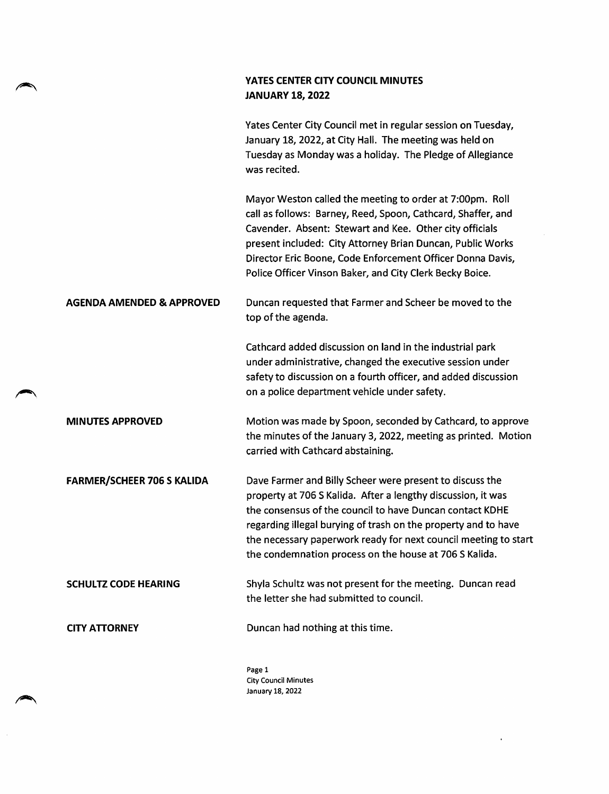## YATES CENTER CITY COUNCIL MINUTES JANUARY 18, 2022

ь

 $\bar{z}$ 

|                                      | Yates Center City Council met in regular session on Tuesday,<br>January 18, 2022, at City Hall. The meeting was held on<br>Tuesday as Monday was a holiday. The Pledge of Allegiance<br>was recited.                                                                                                                                                                                |
|--------------------------------------|-------------------------------------------------------------------------------------------------------------------------------------------------------------------------------------------------------------------------------------------------------------------------------------------------------------------------------------------------------------------------------------|
|                                      | Mayor Weston called the meeting to order at 7:00pm. Roll<br>call as follows: Barney, Reed, Spoon, Cathcard, Shaffer, and<br>Cavender. Absent: Stewart and Kee. Other city officials<br>present included: City Attorney Brian Duncan, Public Works<br>Director Eric Boone, Code Enforcement Officer Donna Davis,<br>Police Officer Vinson Baker, and City Clerk Becky Boice.         |
| <b>AGENDA AMENDED &amp; APPROVED</b> | Duncan requested that Farmer and Scheer be moved to the<br>top of the agenda.                                                                                                                                                                                                                                                                                                       |
|                                      | Cathcard added discussion on land in the industrial park<br>under administrative, changed the executive session under<br>safety to discussion on a fourth officer, and added discussion<br>on a police department vehicle under safety.                                                                                                                                             |
| <b>MINUTES APPROVED</b>              | Motion was made by Spoon, seconded by Cathcard, to approve<br>the minutes of the January 3, 2022, meeting as printed. Motion<br>carried with Cathcard abstaining.                                                                                                                                                                                                                   |
| <b>FARMER/SCHEER 706 S KALIDA</b>    | Dave Farmer and Billy Scheer were present to discuss the<br>property at 706 S Kalida. After a lengthy discussion, it was<br>the consensus of the council to have Duncan contact KDHE<br>regarding illegal burying of trash on the property and to have<br>the necessary paperwork ready for next council meeting to start<br>the condemnation process on the house at 706 S Kalida. |
| <b>SCHULTZ CODE HEARING</b>          | Shyla Schultz was not present for the meeting. Duncan read<br>the letter she had submitted to council.                                                                                                                                                                                                                                                                              |
| <b>CITY ATTORNEY</b>                 | Duncan had nothing at this time.                                                                                                                                                                                                                                                                                                                                                    |

Page 1 City Council Minutes January 18, 2022

 $\mathcal{A}^{\mathcal{A}}$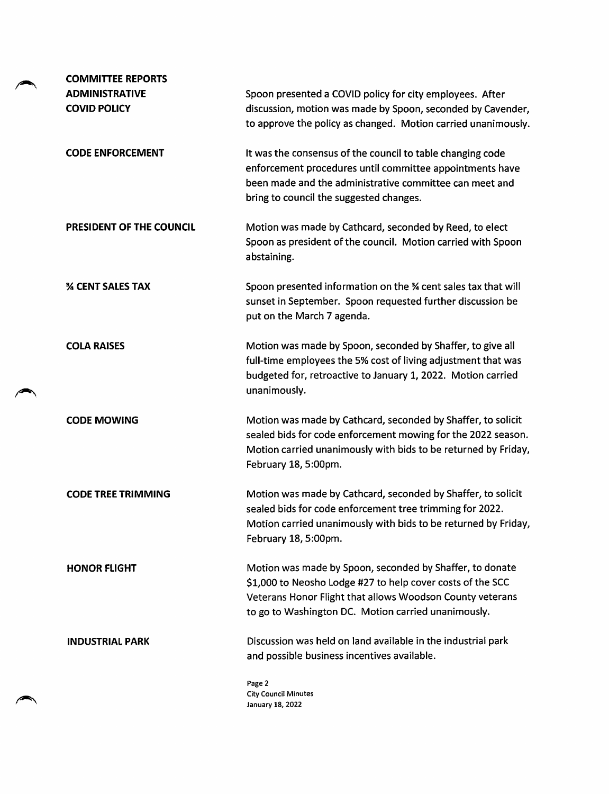| <b>COMMITTEE REPORTS</b>                     |                                                                                                                                                                                                                                            |
|----------------------------------------------|--------------------------------------------------------------------------------------------------------------------------------------------------------------------------------------------------------------------------------------------|
| <b>ADMINISTRATIVE</b><br><b>COVID POLICY</b> | Spoon presented a COVID policy for city employees. After<br>discussion, motion was made by Spoon, seconded by Cavender,<br>to approve the policy as changed. Motion carried unanimously.                                                   |
| <b>CODE ENFORCEMENT</b>                      | It was the consensus of the council to table changing code<br>enforcement procedures until committee appointments have<br>been made and the administrative committee can meet and<br>bring to council the suggested changes.               |
| PRESIDENT OF THE COUNCIL                     | Motion was made by Cathcard, seconded by Reed, to elect<br>Spoon as president of the council. Motion carried with Spoon<br>abstaining.                                                                                                     |
| <b>% CENT SALES TAX</b>                      | Spoon presented information on the % cent sales tax that will<br>sunset in September. Spoon requested further discussion be<br>put on the March 7 agenda.                                                                                  |
| <b>COLA RAISES</b>                           | Motion was made by Spoon, seconded by Shaffer, to give all<br>full-time employees the 5% cost of living adjustment that was<br>budgeted for, retroactive to January 1, 2022. Motion carried<br>unanimously.                                |
| <b>CODE MOWING</b>                           | Motion was made by Cathcard, seconded by Shaffer, to solicit<br>sealed bids for code enforcement mowing for the 2022 season.<br>Motion carried unanimously with bids to be returned by Friday,<br>February 18, 5:00pm.                     |
| <b>CODE TREE TRIMMING</b>                    | Motion was made by Cathcard, seconded by Shaffer, to solicit<br>sealed bids for code enforcement tree trimming for 2022.<br>Motion carried unanimously with bids to be returned by Friday,<br>February 18, 5:00pm.                         |
| <b>HONOR FLIGHT</b>                          | Motion was made by Spoon, seconded by Shaffer, to donate<br>\$1,000 to Neosho Lodge #27 to help cover costs of the SCC<br>Veterans Honor Flight that allows Woodson County veterans<br>to go to Washington DC. Motion carried unanimously. |
| <b>INDUSTRIAL PARK</b>                       | Discussion was held on land available in the industrial park<br>and possible business incentives available.                                                                                                                                |
|                                              | Page 2<br><b>City Council Minutes</b><br>January 18, 2022                                                                                                                                                                                  |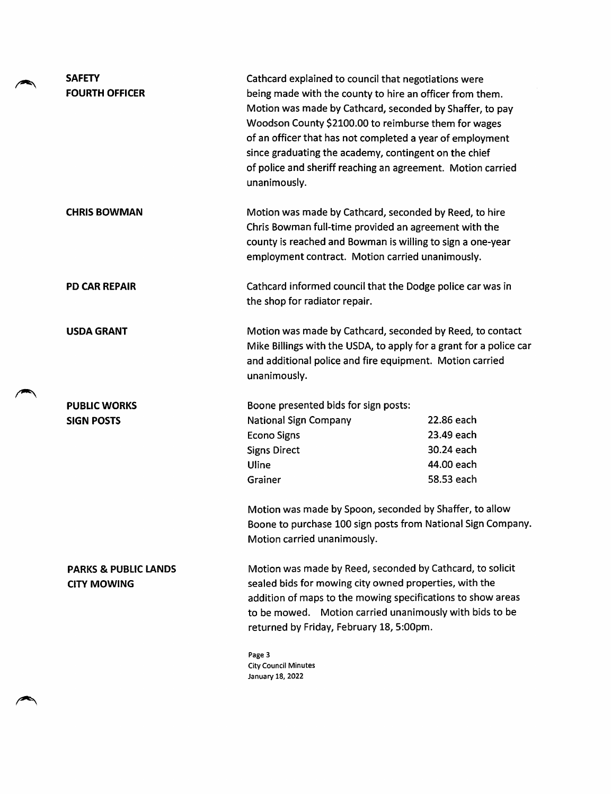| <b>SAFETY</b><br><b>FOURTH OFFICER</b>                | Cathcard explained to council that negotiations were<br>being made with the county to hire an officer from them.<br>Motion was made by Cathcard, seconded by Shaffer, to pay<br>Woodson County \$2100.00 to reimburse them for wages<br>of an officer that has not completed a year of employment<br>since graduating the academy, contingent on the chief<br>of police and sheriff reaching an agreement. Motion carried<br>unanimously. |            |
|-------------------------------------------------------|-------------------------------------------------------------------------------------------------------------------------------------------------------------------------------------------------------------------------------------------------------------------------------------------------------------------------------------------------------------------------------------------------------------------------------------------|------------|
| <b>CHRIS BOWMAN</b>                                   | Motion was made by Cathcard, seconded by Reed, to hire<br>Chris Bowman full-time provided an agreement with the<br>county is reached and Bowman is willing to sign a one-year<br>employment contract. Motion carried unanimously.                                                                                                                                                                                                         |            |
| <b>PD CAR REPAIR</b>                                  | Cathcard informed council that the Dodge police car was in<br>the shop for radiator repair.                                                                                                                                                                                                                                                                                                                                               |            |
| <b>USDA GRANT</b>                                     | Motion was made by Cathcard, seconded by Reed, to contact<br>Mike Billings with the USDA, to apply for a grant for a police car<br>and additional police and fire equipment. Motion carried<br>unanimously.                                                                                                                                                                                                                               |            |
| <b>PUBLIC WORKS</b>                                   | Boone presented bids for sign posts:                                                                                                                                                                                                                                                                                                                                                                                                      |            |
| <b>SIGN POSTS</b>                                     | <b>National Sign Company</b>                                                                                                                                                                                                                                                                                                                                                                                                              | 22.86 each |
|                                                       | <b>Econo Signs</b>                                                                                                                                                                                                                                                                                                                                                                                                                        | 23.49 each |
|                                                       | <b>Signs Direct</b>                                                                                                                                                                                                                                                                                                                                                                                                                       | 30.24 each |
|                                                       | Uline                                                                                                                                                                                                                                                                                                                                                                                                                                     | 44.00 each |
|                                                       | Grainer                                                                                                                                                                                                                                                                                                                                                                                                                                   | 58.53 each |
|                                                       | Motion was made by Spoon, seconded by Shaffer, to allow<br>Boone to purchase 100 sign posts from National Sign Company.<br>Motion carried unanimously.                                                                                                                                                                                                                                                                                    |            |
| <b>PARKS &amp; PUBLIC LANDS</b><br><b>CITY MOWING</b> | Motion was made by Reed, seconded by Cathcard, to solicit<br>sealed bids for mowing city owned properties, with the<br>addition of maps to the mowing specifications to show areas<br>to be mowed. Motion carried unanimously with bids to be<br>returned by Friday, February 18, 5:00pm.<br>Page 3<br><b>City Council Minutes</b><br>January 18, 2022                                                                                    |            |